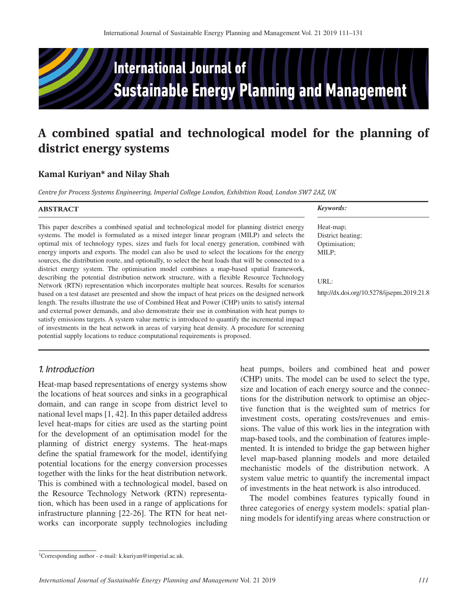

# **A combined spatial and technological model for the planning of district energy systems**

# **Kamal Kuriyan\* and Nilay Shah**

*Centre for Process Systems Engineering, Imperial College London, Exhibition Road, London SW7 2AZ, UK*

| <b>ABSTRACT</b>                                                                                                                                                                                                                                                                                                                                                                                                                                                                                                                                                                                                                                                                                                                                                                                                                                                                                                                                                                                                                                                                                                                                                                                                                                                                                                                                                                              | Keywords:                                                                                                      |
|----------------------------------------------------------------------------------------------------------------------------------------------------------------------------------------------------------------------------------------------------------------------------------------------------------------------------------------------------------------------------------------------------------------------------------------------------------------------------------------------------------------------------------------------------------------------------------------------------------------------------------------------------------------------------------------------------------------------------------------------------------------------------------------------------------------------------------------------------------------------------------------------------------------------------------------------------------------------------------------------------------------------------------------------------------------------------------------------------------------------------------------------------------------------------------------------------------------------------------------------------------------------------------------------------------------------------------------------------------------------------------------------|----------------------------------------------------------------------------------------------------------------|
| This paper describes a combined spatial and technological model for planning district energy<br>systems. The model is formulated as a mixed integer linear program (MILP) and selects the<br>optimal mix of technology types, sizes and fuels for local energy generation, combined with<br>energy imports and exports. The model can also be used to select the locations for the energy<br>sources, the distribution route, and optionally, to select the heat loads that will be connected to a<br>district energy system. The optimisation model combines a map-based spatial framework,<br>describing the potential distribution network structure, with a flexible Resource Technology<br>Network (RTN) representation which incorporates multiple heat sources. Results for scenarios<br>based on a test dataset are presented and show the impact of heat prices on the designed network<br>length. The results illustrate the use of Combined Heat and Power (CHP) units to satisfy internal<br>and external power demands, and also demonstrate their use in combination with heat pumps to<br>satisfy emissions targets. A system value metric is introduced to quantify the incremental impact<br>of investments in the heat network in areas of varying heat density. A procedure for screening<br>potential supply locations to reduce computational requirements is proposed. | Heat-map:<br>District heating:<br>Optimisation;<br>MILP;<br>URL:<br>http://dx.doi.org/10.5278/ijsepm.2019.21.8 |

# *1. Introduction*

Heat-map based representations of energy systems show the locations of heat sources and sinks in a geographical domain, and can range in scope from district level to national level maps [1, 42]. In this paper detailed address level heat-maps for cities are used as the starting point for the development of an optimisation model for the planning of district energy systems. The heat-maps define the spatial framework for the model, identifying potential locations for the energy conversion processes together with the links for the heat distribution network. This is combined with a technological model, based on the Resource Technology Network (RTN) representation, which has been used in a range of applications for infrastructure planning [22-26]. The RTN for heat networks can incorporate supply technologies including heat pumps, boilers and combined heat and power (CHP) units. The model can be used to select the type, size and location of each energy source and the connections for the distribution network to optimise an objective function that is the weighted sum of metrics for investment costs, operating costs/revenues and emissions. The value of this work lies in the integration with map-based tools, and the combination of features implemented. It is intended to bridge the gap between higher level map-based planning models and more detailed mechanistic models of the distribution network. A system value metric to quantify the incremental impact of investments in the heat network is also introduced.

The model combines features typically found in three categories of energy system models: spatial planning models for identifying areas where construction or

<sup>1</sup>Corresponding author - e-mail: k.kuriyan@imperial.ac.uk.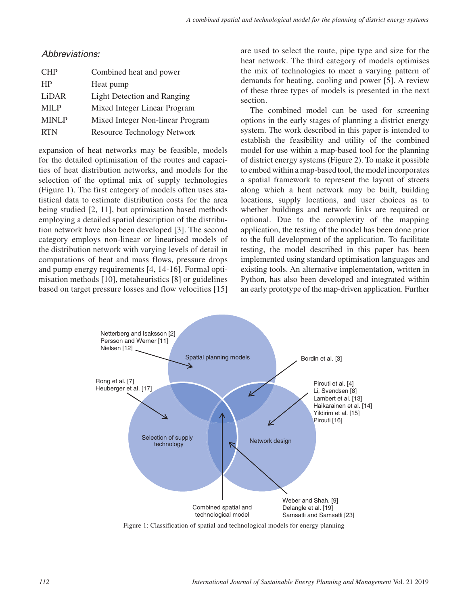## *Abbreviations:*

| <b>CHP</b>   | Combined heat and power            |
|--------------|------------------------------------|
| <b>HP</b>    | Heat pump                          |
| LiDAR        | <b>Light Detection and Ranging</b> |
| <b>MILP</b>  | Mixed Integer Linear Program       |
| <b>MINLP</b> | Mixed Integer Non-linear Program   |
| <b>RTN</b>   | <b>Resource Technology Network</b> |

expansion of heat networks may be feasible, models for the detailed optimisation of the routes and capacities of heat distribution networks, and models for the selection of the optimal mix of supply technologies (Figure 1). The first category of models often uses statistical data to estimate distribution costs for the area being studied [2, 11], but optimisation based methods employing a detailed spatial description of the distribution network have also been developed [3]. The second category employs non-linear or linearised models of the distribution network with varying levels of detail in computations of heat and mass flows, pressure drops and pump energy requirements [4, 14-16]. Formal optimisation methods [10], metaheuristics [8] or guidelines based on target pressure losses and flow velocities [15]

are used to select the route, pipe type and size for the heat network. The third category of models optimises the mix of technologies to meet a varying pattern of demands for heating, cooling and power [5]. A review of these three types of models is presented in the next section.

The combined model can be used for screening options in the early stages of planning a district energy system. The work described in this paper is intended to establish the feasibility and utility of the combined model for use within a map-based tool for the planning of district energy systems (Figure 2). To make it possible to embed within a map-based tool, the model incorporates a spatial framework to represent the layout of streets along which a heat network may be built, building locations, supply locations, and user choices as to whether buildings and network links are required or optional. Due to the complexity of the mapping application, the testing of the model has been done prior to the full development of the application. To facilitate testing, the model described in this paper has been implemented using standard optimisation languages and existing tools. An alternative implementation, written in Python, has also been developed and integrated within an early prototype of the map-driven application. Further



Figure 1: Classification of spatial and technological models for energy planning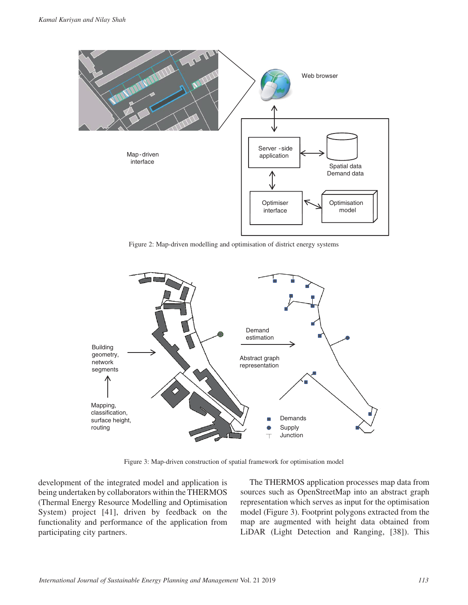

Figure 2: Map-driven modelling and optimisation of district energy systems



Figure 3: Map-driven construction of spatial framework for optimisation model

development of the integrated model and application is being undertaken by collaborators within the THERMOS (Thermal Energy Resource Modelling and Optimisation System) project [41], driven by feedback on the functionality and performance of the application from participating city partners.

The THERMOS application processes map data from sources such as OpenStreetMap into an abstract graph representation which serves as input for the optimisation model (Figure 3). Footprint polygons extracted from the map are augmented with height data obtained from LiDAR (Light Detection and Ranging, [38]). This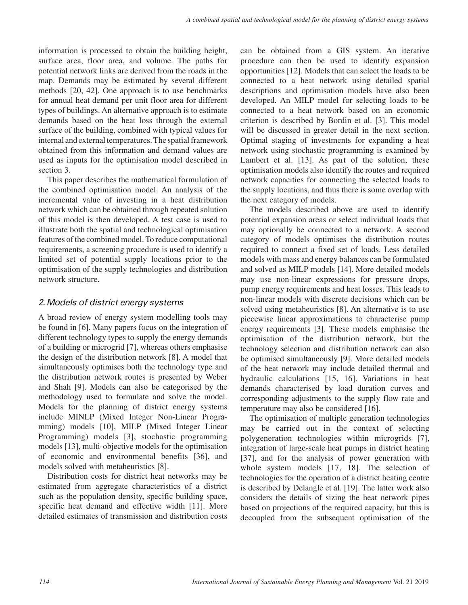information is processed to obtain the building height, surface area, floor area, and volume. The paths for potential network links are derived from the roads in the map. Demands may be estimated by several different methods [20, 42]. One approach is to use benchmarks for annual heat demand per unit floor area for different types of buildings. An alternative approach is to estimate demands based on the heat loss through the external surface of the building, combined with typical values for internal and external temperatures. The spatial framework obtained from this information and demand values are used as inputs for the optimisation model described in section 3.

This paper describes the mathematical formulation of the combined optimisation model. An analysis of the incremental value of investing in a heat distribution network which can be obtained through repeated solution of this model is then developed. A test case is used to illustrate both the spatial and technological optimisation features of the combined model. To reduce computational requirements, a screening procedure is used to identify a limited set of potential supply locations prior to the optimisation of the supply technologies and distribution network structure.

# *2. Models of district energy systems*

A broad review of energy system modelling tools may be found in [6]. Many papers focus on the integration of different technology types to supply the energy demands of a building or microgrid [7], whereas others emphasise the design of the distribution network [8]. A model that simultaneously optimises both the technology type and the distribution network routes is presented by Weber and Shah [9]. Models can also be categorised by the methodology used to formulate and solve the model. Models for the planning of district energy systems include MINLP (Mixed Integer Non-Linear Programming) models [10], MILP (Mixed Integer Linear Programming) models [3], stochastic programming models [13], multi-objective models for the optimisation of economic and environmental benefits [36], and models solved with metaheuristics [8].

Distribution costs for district heat networks may be estimated from aggregate characteristics of a district such as the population density, specific building space, specific heat demand and effective width [11]. More detailed estimates of transmission and distribution costs

can be obtained from a GIS system. An iterative procedure can then be used to identify expansion opportunities [12]. Models that can select the loads to be connected to a heat network using detailed spatial descriptions and optimisation models have also been developed. An MILP model for selecting loads to be connected to a heat network based on an economic criterion is described by Bordin et al. [3]. This model will be discussed in greater detail in the next section. Optimal staging of investments for expanding a heat network using stochastic programming is examined by Lambert et al. [13]. As part of the solution, these optimisation models also identify the routes and required network capacities for connecting the selected loads to the supply locations, and thus there is some overlap with the next category of models.

The models described above are used to identify potential expansion areas or select individual loads that may optionally be connected to a network. A second category of models optimises the distribution routes required to connect a fixed set of loads. Less detailed models with mass and energy balances can be formulated and solved as MILP models [14]. More detailed models may use non-linear expressions for pressure drops, pump energy requirements and heat losses. This leads to non-linear models with discrete decisions which can be solved using metaheuristics [8]. An alternative is to use piecewise linear approximations to characterise pump energy requirements [3]. These models emphasise the optimisation of the distribution network, but the technology selection and distribution network can also be optimised simultaneously [9]. More detailed models of the heat network may include detailed thermal and hydraulic calculations [15, 16]. Variations in heat demands characterised by load duration curves and corresponding adjustments to the supply flow rate and temperature may also be considered [16].

The optimisation of multiple generation technologies may be carried out in the context of selecting polygeneration technologies within microgrids [7], integration of large-scale heat pumps in district heating [37], and for the analysis of power generation with whole system models [17, 18]. The selection of technologies for the operation of a district heating centre is described by Delangle et al. [19]. The latter work also considers the details of sizing the heat network pipes based on projections of the required capacity, but this is decoupled from the subsequent optimisation of the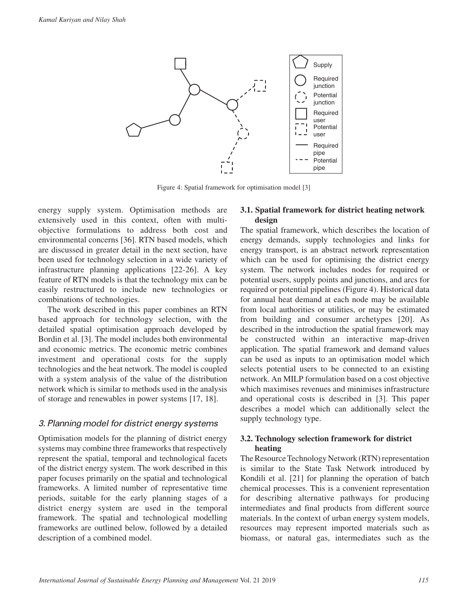

Figure 4: Spatial framework for optimisation model [3]

energy supply system. Optimisation methods are extensively used in this context, often with multiobjective formulations to address both cost and environmental concerns [36]. RTN based models, which are discussed in greater detail in the next section, have been used for technology selection in a wide variety of infrastructure planning applications [22-26]. A key feature of RTN models is that the technology mix can be easily restructured to include new technologies or combinations of technologies.

The work described in this paper combines an RTN based approach for technology selection, with the detailed spatial optimisation approach developed by Bordin et al. [3]. The model includes both environmental and economic metrics. The economic metric combines investment and operational costs for the supply technologies and the heat network. The model is coupled with a system analysis of the value of the distribution network which is similar to methods used in the analysis of storage and renewables in power systems [17, 18].

## *3. Planning model for district energy systems*

Optimisation models for the planning of district energy systems may combine three frameworks that respectively represent the spatial, temporal and technological facets of the district energy system. The work described in this paper focuses primarily on the spatial and technological frameworks. A limited number of representative time periods, suitable for the early planning stages of a district energy system are used in the temporal framework. The spatial and technological modelling frameworks are outlined below, followed by a detailed description of a combined model.

#### **3.1. Spatial framework for district heating network design**

The spatial framework, which describes the location of energy demands, supply technologies and links for energy transport, is an abstract network representation which can be used for optimising the district energy system. The network includes nodes for required or potential users, supply points and junctions, and arcs for required or potential pipelines (Figure 4). Historical data for annual heat demand at each node may be available from local authorities or utilities, or may be estimated from building and consumer archetypes [20]. As described in the introduction the spatial framework may be constructed within an interactive map-driven application. The spatial framework and demand values can be used as inputs to an optimisation model which selects potential users to be connected to an existing network. An MILP formulation based on a cost objective which maximises revenues and minimises infrastructure and operational costs is described in [3]. This paper describes a model which can additionally select the supply technology type.

## **3.2. Technology selection framework for district heating**

The Resource Technology Network (RTN) representation is similar to the State Task Network introduced by Kondili et al. [21] for planning the operation of batch chemical processes. This is a convenient representation for describing alternative pathways for producing intermediates and final products from different source materials. In the context of urban energy system models, resources may represent imported materials such as biomass, or natural gas, intermediates such as the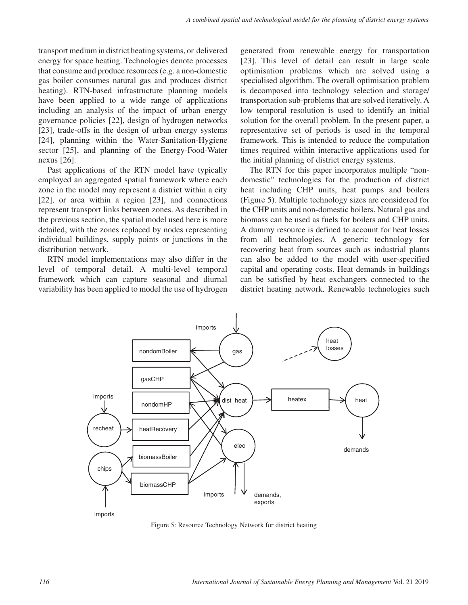transport medium in district heating systems, or delivered energy for space heating. Technologies denote processes that consume and produce resources (e.g. a non-domestic gas boiler consumes natural gas and produces district heating). RTN-based infrastructure planning models have been applied to a wide range of applications including an analysis of the impact of urban energy governance policies [22], design of hydrogen networks [23], trade-offs in the design of urban energy systems [24], planning within the Water-Sanitation-Hygiene sector [25], and planning of the Energy-Food-Water nexus [26].

Past applications of the RTN model have typically employed an aggregated spatial framework where each zone in the model may represent a district within a city [22], or area within a region [23], and connections represent transport links between zones. As described in the previous section, the spatial model used here is more detailed, with the zones replaced by nodes representing individual buildings, supply points or junctions in the distribution network.

RTN model implementations may also differ in the level of temporal detail. A multi-level temporal framework which can capture seasonal and diurnal variability has been applied to model the use of hydrogen generated from renewable energy for transportation [23]. This level of detail can result in large scale optimisation problems which are solved using a specialised algorithm. The overall optimisation problem is decomposed into technology selection and storage/ transportation sub-problems that are solved iteratively. A low temporal resolution is used to identify an initial solution for the overall problem. In the present paper, a representative set of periods is used in the temporal framework. This is intended to reduce the computation times required within interactive applications used for the initial planning of district energy systems.

The RTN for this paper incorporates multiple "nondomestic" technologies for the production of district heat including CHP units, heat pumps and boilers (Figure 5). Multiple technology sizes are considered for the CHP units and non-domestic boilers. Natural gas and biomass can be used as fuels for boilers and CHP units. A dummy resource is defined to account for heat losses from all technologies. A generic technology for recovering heat from sources such as industrial plants can also be added to the model with user-specified capital and operating costs. Heat demands in buildings can be satisfied by heat exchangers connected to the district heating network. Renewable technologies such



Figure 5: Resource Technology Network for district heating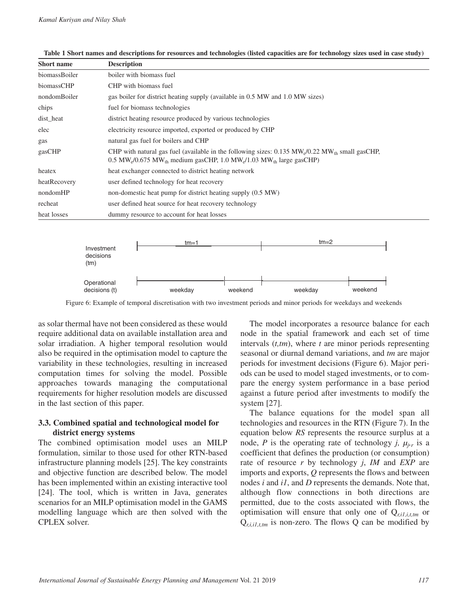| <b>Short name</b> | <b>Description</b>                                                                                                                                                                                                                                 |
|-------------------|----------------------------------------------------------------------------------------------------------------------------------------------------------------------------------------------------------------------------------------------------|
| biomassBoiler     | boiler with biomass fuel                                                                                                                                                                                                                           |
| biomassCHP        | CHP with biomass fuel                                                                                                                                                                                                                              |
| nondomBoiler      | gas boiler for district heating supply (available in 0.5 MW and 1.0 MW sizes)                                                                                                                                                                      |
| chips             | fuel for biomass technologies                                                                                                                                                                                                                      |
| dist_heat         | district heating resource produced by various technologies                                                                                                                                                                                         |
| elec              | electricity resource imported, exported or produced by CHP                                                                                                                                                                                         |
| gas               | natural gas fuel for boilers and CHP                                                                                                                                                                                                               |
| gasCHP            | CHP with natural gas fuel (available in the following sizes: $0.135$ MW <sub>o</sub> $/0.22$ MW <sub>th</sub> small gasCHP,<br>0.5 MW <sub>e</sub> /0.675 MW <sub>th</sub> medium gasCHP, 1.0 MW <sub>e</sub> /1.03 MW <sub>th</sub> large gasCHP) |
| heatex            | heat exchanger connected to district heating network                                                                                                                                                                                               |
| heatRecovery      | user defined technology for heat recovery                                                                                                                                                                                                          |
| nondomHP          | non-domestic heat pump for district heating supply (0.5 MW)                                                                                                                                                                                        |
| recheat           | user defined heat source for heat recovery technology                                                                                                                                                                                              |
| heat losses       | dummy resource to account for heat losses                                                                                                                                                                                                          |



Figure 6: Example of temporal discretisation with two investment periods and minor periods for weekdays and weekends

as solar thermal have not been considered as these would require additional data on available installation area and solar irradiation. A higher temporal resolution would also be required in the optimisation model to capture the variability in these technologies, resulting in increased computation times for solving the model. Possible approaches towards managing the computational requirements for higher resolution models are discussed in the last section of this paper.

#### **3.3. Combined spatial and technological model for district energy systems**

The combined optimisation model uses an MILP formulation, similar to those used for other RTN-based infrastructure planning models [25]. The key constraints and objective function are described below. The model has been implemented within an existing interactive tool [24]. The tool, which is written in Java, generates scenarios for an MILP optimisation model in the GAMS modelling language which are then solved with the CPLEX solver.

The model incorporates a resource balance for each node in the spatial framework and each set of time intervals (*t,tm*), where *t* are minor periods representing seasonal or diurnal demand variations, and *tm* are major periods for investment decisions (Figure 6). Major periods can be used to model staged investments, or to compare the energy system performance in a base period against a future period after investments to modify the system [27].

The balance equations for the model span all technologies and resources in the RTN (Figure 7). In the equation below *RS* represents the resource surplus at a node, *P* is the operating rate of technology *j*,  $\mu_{ir}$  is a coefficient that defines the production (or consumption) rate of resource *r* by technology *j*, *IM* and *EXP* are imports and exports, *Q* represents the flows and between nodes *i* and *i1*, and *D* represents the demands. Note that, although flow connections in both directions are permitted, due to the costs associated with flows, the optimisation will ensure that only one of Q*r,i1,i,t,tm* or  $Q_{r,i,i1,tm}$  is non-zero. The flows Q can be modified by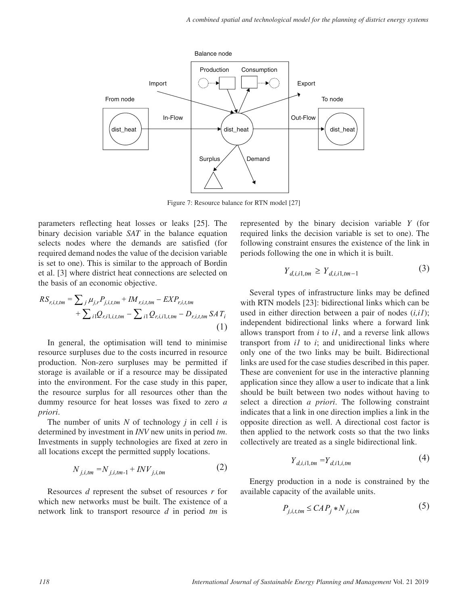

Figure 7: Resource balance for RTN model [27]

parameters reflecting heat losses or leaks [25]. The binary decision variable *SAT* in the balance equation selects nodes where the demands are satisfied (for required demand nodes the value of the decision variable is set to one). This is similar to the approach of Bordin et al. [3] where district heat connections are selected on the basis of an economic objective.

$$
RS_{r,i,t,tm} = \sum_{j} \mu_{j,r} P_{j,i,t,tm} + IM_{r,i,t,tm} - EXP_{r,i,t,tm} + \sum_{i1} Q_{r,i1,i,t,tm} - \sum_{i1} Q_{r,i,i1,t,tm} - D_{r,i,t,tm} SA T_{i}
$$
\n(1)

In general, the optimisation will tend to minimise resource surpluses due to the costs incurred in resource production. Non-zero surpluses may be permitted if storage is available or if a resource may be dissipated into the environment. For the case study in this paper, the resource surplus for all resources other than the dummy resource for heat losses was fixed to zero *a priori*.

The number of units *N* of technology *j* in cell *i* is determined by investment in *INV* new units in period *tm*. Investments in supply technologies are fixed at zero in all locations except the permitted supply locations.

$$
N_{j,i,tm} = N_{j,i,tm-1} + INV_{j,i,tm}
$$
 (2)

Resources *d* represent the subset of resources *r* for which new networks must be built. The existence of a network link to transport resource *d* in period *tm* is

represented by the binary decision variable *Y* (for required links the decision variable is set to one). The following constraint ensures the existence of the link in periods following the one in which it is built.

$$
Y_{d,i,i1,tm} \ge Y_{d,i,i1,tm-1} \tag{3}
$$

Several types of infrastructure links may be defined with RTN models [23]: bidirectional links which can be used in either direction between a pair of nodes (*i,i1*); independent bidirectional links where a forward link allows transport from *i* to *i1*, and a reverse link allows transport from *i1* to *i*; and unidirectional links where only one of the two links may be built. Bidirectional links are used for the case studies described in this paper. These are convenient for use in the interactive planning application since they allow a user to indicate that a link should be built between two nodes without having to select a direction *a priori*. The following constraint indicates that a link in one direction implies a link in the opposite direction as well. A directional cost factor is then applied to the network costs so that the two links collectively are treated as a single bidirectional link.

$$
Y_{d,i,i1,tm} = Y_{d,i1,i,tm}
$$
\n<sup>(4)</sup>

Energy production in a node is constrained by the available capacity of the available units.

$$
P_{j,i,t,tm} \le CAP_j * N_{j,i,tm} \tag{5}
$$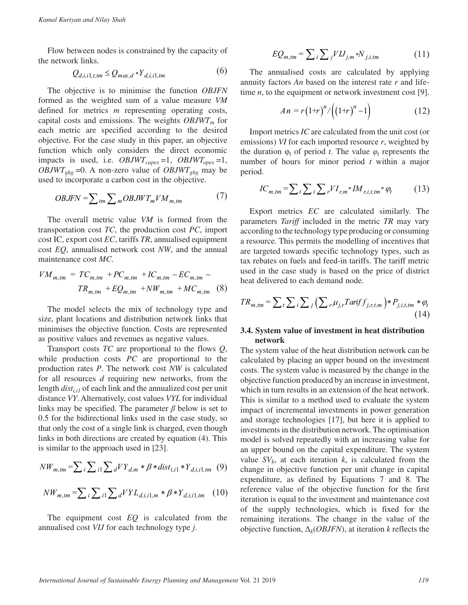Flow between nodes is constrained by the capacity of the network links.

$$
Q_{d,i,i1,t,tm} \leq Q_{max,d} * Y_{d,i,i1,tm}
$$
 (6)

The objective is to minimise the function *OBJFN* formed as the weighted sum of a value measure *VM* defined for metrics *m* representing operating costs, capital costs and emissions. The weights  $OBJWT_m$  for each metric are specified according to the desired objective. For the case study in this paper, an objective function which only considers the direct economic impacts is used, i.e. *OBJWT<sub>capex</sub>* =1, *OBJWT<sub>opex</sub>* =1, *OBJWT<sub>ghg</sub>* = 0. A non-zero value of *OBJWT<sub>ghg</sub>* may be used to incorporate a carbon cost in the objective.

$$
OBJFN = \sum_{tm} \sum_{m} OBJWT_mVM_{m,tm}
$$
 (7)

The overall metric value *VM* is formed from the transportation cost *TC*, the production cost *PC*, import cost IC, export cost *EC*, tariffs *TR*, annualised equipment cost *EQ*, annualised network cost *NW*, and the annual maintenance cost *MC*.

$$
VM_{m,tm} = TC_{m,tm} + PC_{m,tm} + IC_{m,tm} - EC_{m,tm} -
$$
  

$$
TR_{m,tm} + EQ_{m,tm} + NW_{m,tm} + MC_{m,tm}
$$
 (8)

The model selects the mix of technology type and size, plant locations and distribution network links that minimises the objective function. Costs are represented as positive values and revenues as negative values.

Transport costs *TC* are proportional to the flows *Q*, while production costs *PC* are proportional to the production rates *P*. The network cost *NW* is calculated for all resources *d* requiring new networks, from the length *dist<sub>i,i1</sub>* of each link and the annualized cost per unit distance *VY*. Alternatively, cost values *VYL* for individual links may be specified. The parameter *β* below is set to 0.5 for the bidirectional links used in the case study, so that only the cost of a single link is charged, even though links in both directions are created by equation (4). This is similar to the approach used in [23].

$$
NW_{m,tm} = \sum_{i} \sum_{i1} \sum_{d} VY_{d,m} * \beta * dist_{i,i1} * Y_{d,i,i1,tm} \quad (9)
$$

$$
NW_{m,tm} = \sum_{i} \sum_{i1} \sum_{d} VYL_{d,i,i1,m} * \beta * Y_{d,i,i1,tm} \quad (10)
$$

The equipment cost *EQ* is calculated from the annualised cost *VIJ* for each technology type *j*.

$$
EQ_{m,tm} = \sum_{i} \sum_{j} VIJ_{j,m} * N_{j,i,tm}
$$
 (11)

The annualised costs are calculated by applying annuity factors *An* based on the interest rate *r* and lifetime *n*, to the equipment or network investment cost [9].

$$
An = r(1+r)^{n}/((1+r)^{n}-1)
$$
 (12)

Import metrics *IC* are calculated from the unit cost (or emissions) *VI* for each imported resource *r*, weighted by the duration  $\varphi_t$  of period *t*. The value  $\varphi_t$  represents the number of hours for minor period *t* within a major period.

$$
IC_{m,tm} = \sum_{t} \sum_{i} \sum_{r} VI_{r,m} * IM_{r,i,t,tm} * \varphi_t
$$
 (13)

Export metrics *EC* are calculated similarly. The parameters *Tariff* included in the metric *TR* may vary according to the technology type producing or consuming a resource. This permits the modelling of incentives that are targeted towards specific technology types, such as tax rebates on fuels and feed-in tariffs. The tariff metric used in the case study is based on the price of district heat delivered to each demand node.

$$
TR_{m,tm} = \sum_{t} \sum_{i} \sum_{j} \left( \sum_{r} \mu_{j,r} Tarif f_{j,r,t,m} \right) * P_{j,i,t,tm} * \varphi_{t}
$$
\n(14)

#### **3.4. System value of investment in heat distribution network**

The system value of the heat distribution network can be calculated by placing an upper bound on the investment costs. The system value is measured by the change in the objective function produced by an increase in investment, which in turn results in an extension of the heat network. This is similar to a method used to evaluate the system impact of incremental investments in power generation and storage technologies [17], but here it is applied to investments in the distribution network. The optimisation model is solved repeatedly with an increasing value for an upper bound on the capital expenditure. The system value  $SV_k$ , at each iteration  $k$ , is calculated from the change in objective function per unit change in capital expenditure, as defined by Equations 7 and 8. The reference value of the objective function for the first iteration is equal to the investment and maintenance cost of the supply technologies, which is fixed for the remaining iterations. The change in the value of the objective function, Δ*k*(*OBJFN*), at iteration *k* reflects the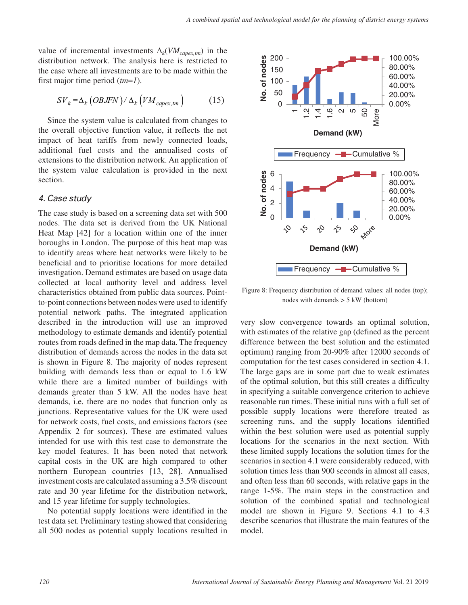value of incremental investments  $\Delta_k$ (*VM<sub>capex,tm*) in the</sub> distribution network. The analysis here is restricted to the case where all investments are to be made within the first major time period (*tm*=*1*).

$$
SV_k = \Delta_k \left(OBJFN\right) / \Delta_k \left( VM_{capex,tm} \right) \tag{15}
$$

Since the system value is calculated from changes to the overall objective function value, it reflects the net impact of heat tariffs from newly connected loads, additional fuel costs and the annualised costs of extensions to the distribution network. An application of the system value calculation is provided in the next section.

#### *4. Case study*

The case study is based on a screening data set with 500 nodes. The data set is derived from the UK National Heat Map [42] for a location within one of the inner boroughs in London. The purpose of this heat map was to identify areas where heat networks were likely to be beneficial and to prioritise locations for more detailed investigation. Demand estimates are based on usage data collected at local authority level and address level characteristics obtained from public data sources. Pointto-point connections between nodes were used to identify potential network paths. The integrated application described in the introduction will use an improved methodology to estimate demands and identify potential routes from roads defined in the map data. The frequency distribution of demands across the nodes in the data set is shown in Figure 8. The majority of nodes represent building with demands less than or equal to 1.6 kW while there are a limited number of buildings with demands greater than 5 kW. All the nodes have heat demands, i.e. there are no nodes that function only as junctions. Representative values for the UK were used for network costs, fuel costs, and emissions factors (see Appendix 2 for sources). These are estimated values intended for use with this test case to demonstrate the key model features. It has been noted that network capital costs in the UK are high compared to other northern European countries [13, 28]. Annualised investment costs are calculated assuming a 3.5% discount rate and 30 year lifetime for the distribution network, and 15 year lifetime for supply technologies.

No potential supply locations were identified in the test data set. Preliminary testing showed that considering all 500 nodes as potential supply locations resulted in



Figure 8: Frequency distribution of demand values: all nodes (top); nodes with demands  $> 5$  kW (bottom)

very slow convergence towards an optimal solution, with estimates of the relative gap (defined as the percent difference between the best solution and the estimated optimum) ranging from 20-90% after 12000 seconds of computation for the test cases considered in section 4.1. The large gaps are in some part due to weak estimates of the optimal solution, but this still creates a difficulty in specifying a suitable convergence criterion to achieve reasonable run times. These initial runs with a full set of possible supply locations were therefore treated as screening runs, and the supply locations identified within the best solution were used as potential supply locations for the scenarios in the next section. With these limited supply locations the solution times for the scenarios in section 4.1 were considerably reduced, with solution times less than 900 seconds in almost all cases, and often less than 60 seconds, with relative gaps in the range 1-5%. The main steps in the construction and solution of the combined spatial and technological model are shown in Figure 9. Sections 4.1 to 4.3 describe scenarios that illustrate the main features of the model.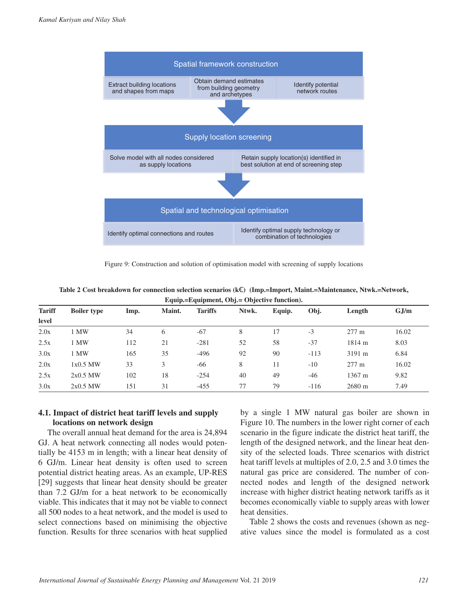

Figure 9: Construction and solution of optimisation model with screening of supply locations

|               | Equip.=Equipment, Obj.= Objective function). |      |        |                |       |        |        |                  |         |
|---------------|----------------------------------------------|------|--------|----------------|-------|--------|--------|------------------|---------|
| <b>Tariff</b> | <b>Boiler type</b>                           | Imp. | Maint. | <b>Tariffs</b> | Ntwk. | Equip. | Obj.   | Length           | $G$ J/m |
| level         |                                              |      |        |                |       |        |        |                  |         |
| 2.0x          | 1 MW                                         | 34   | 6      | $-67$          | 8     | 17     | $-3$   | $277 \text{ m}$  | 16.02   |
| 2.5x          | MW <sub></sub>                               | 112  | 21     | $-281$         | 52    | 58     | $-37$  | 1814 m           | 8.03    |
| 3.0x          | 1 MW                                         | 165  | 35     | $-496$         | 92    | 90     | $-113$ | $3191 \text{ m}$ | 6.84    |
| 2.0x          | 1x0.5 MW                                     | 33   | 3      | -66            | 8     | 11     | $-10$  | $277 \text{ m}$  | 16.02   |
| 2.5x          | $2x0.5$ MW                                   | 102  | 18     | $-254$         | 40    | 49     | $-46$  | 1367 m           | 9.82    |
| 3.0x          | $2x0.5$ MW                                   | 151  | 31     | $-455$         | 77    | 79     | $-116$ | 2680 m           | 7.49    |

**Table 2 Cost breakdown for connection selection scenarios (k**€**) (Imp.=Import, Maint.=Maintenance, Ntwk.=Network,** 

## **4.1. Impact of district heat tariff levels and supply locations on network design**

The overall annual heat demand for the area is 24,894 GJ. A heat network connecting all nodes would potentially be 4153 m in length; with a linear heat density of 6 GJ/m. Linear heat density is often used to screen potential district heating areas. As an example, UP-RES [29] suggests that linear heat density should be greater than 7.2 GJ/m for a heat network to be economically viable. This indicates that it may not be viable to connect all 500 nodes to a heat network, and the model is used to select connections based on minimising the objective function. Results for three scenarios with heat supplied

by a single 1 MW natural gas boiler are shown in Figure 10. The numbers in the lower right corner of each scenario in the figure indicate the district heat tariff, the length of the designed network, and the linear heat density of the selected loads. Three scenarios with district heat tariff levels at multiples of 2.0, 2.5 and 3.0 times the natural gas price are considered. The number of connected nodes and length of the designed network increase with higher district heating network tariffs as it becomes economically viable to supply areas with lower heat densities.

Table 2 shows the costs and revenues (shown as negative values since the model is formulated as a cost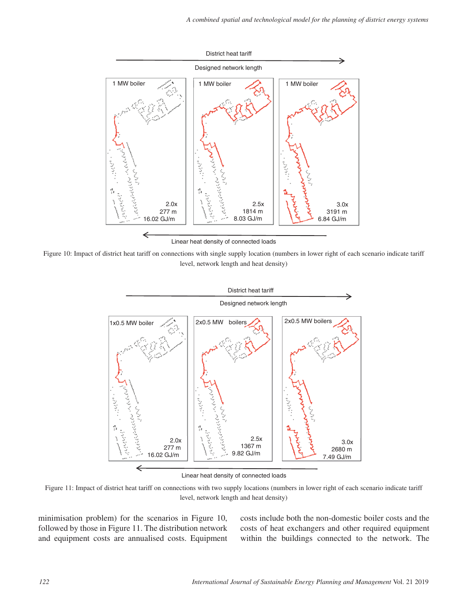

Linear heat density of connected loads

Figure 10: Impact of district heat tariff on connections with single supply location (numbers in lower right of each scenario indicate tariff level, network length and heat density)



Linear heat density of connected loads

Figure 11: Impact of district heat tariff on connections with two supply locations (numbers in lower right of each scenario indicate tariff level, network length and heat density)

minimisation problem) for the scenarios in Figure 10, followed by those in Figure 11. The distribution network and equipment costs are annualised costs. Equipment costs include both the non-domestic boiler costs and the costs of heat exchangers and other required equipment within the buildings connected to the network. The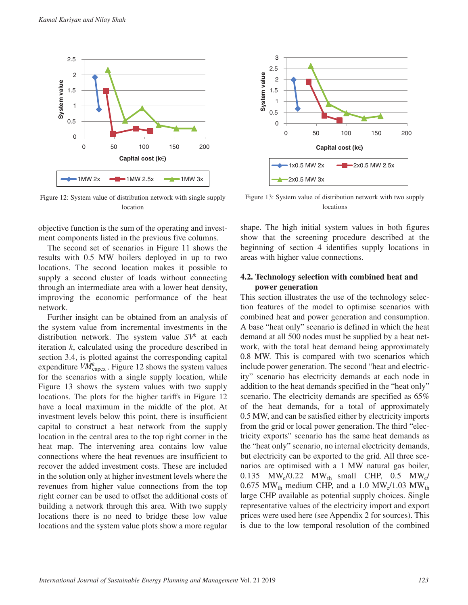

Figure 12: System value of distribution network with single supply location

objective function is the sum of the operating and investment components listed in the previous five columns.

The second set of scenarios in Figure 11 shows the results with 0.5 MW boilers deployed in up to two locations. The second location makes it possible to supply a second cluster of loads without connecting through an intermediate area with a lower heat density, improving the economic performance of the heat network.

Further insight can be obtained from an analysis of the system value from incremental investments in the distribution network. The system value  $SV^k$  at each iteration *k*, calculated using the procedure described in section 3.4, is plotted against the corresponding capital expenditure  $V\hat{M}_{\text{capex}}^k$ . Figure 12 shows the system values for the scenarios with a single supply location, while Figure 13 shows the system values with two supply locations. The plots for the higher tariffs in Figure 12 have a local maximum in the middle of the plot. At investment levels below this point, there is insufficient capital to construct a heat network from the supply location in the central area to the top right corner in the heat map. The intervening area contains low value connections where the heat revenues are insufficient to recover the added investment costs. These are included in the solution only at higher investment levels where the revenues from higher value connections from the top right corner can be used to offset the additional costs of building a network through this area. With two supply locations there is no need to bridge these low value locations and the system value plots show a more regular



Figure 13: System value of distribution network with two supply locations

shape. The high initial system values in both figures show that the screening procedure described at the beginning of section 4 identifies supply locations in areas with higher value connections.

#### **4.2. Technology selection with combined heat and power generation**

This section illustrates the use of the technology selection features of the model to optimise scenarios with combined heat and power generation and consumption. A base "heat only" scenario is defined in which the heat demand at all 500 nodes must be supplied by a heat network, with the total heat demand being approximately 0.8 MW. This is compared with two scenarios which include power generation. The second "heat and electricity" scenario has electricity demands at each node in addition to the heat demands specified in the "heat only" scenario. The electricity demands are specified as 65% of the heat demands, for a total of approximately 0.5 MW, and can be satisfied either by electricity imports from the grid or local power generation. The third "electricity exports" scenario has the same heat demands as the "heat only" scenario, no internal electricity demands, but electricity can be exported to the grid. All three scenarios are optimised with a 1 MW natural gas boiler, 0.135 MW<sub>e</sub>/0.22 MW<sub>th</sub> small CHP, 0.5 MW<sub>e</sub>/ 0.675 MW<sub>th</sub> medium CHP, and a 1.0 MW<sub>e</sub>/1.03 MW<sub>th</sub> large CHP available as potential supply choices. Single representative values of the electricity import and export prices were used here (see Appendix 2 for sources). This is due to the low temporal resolution of the combined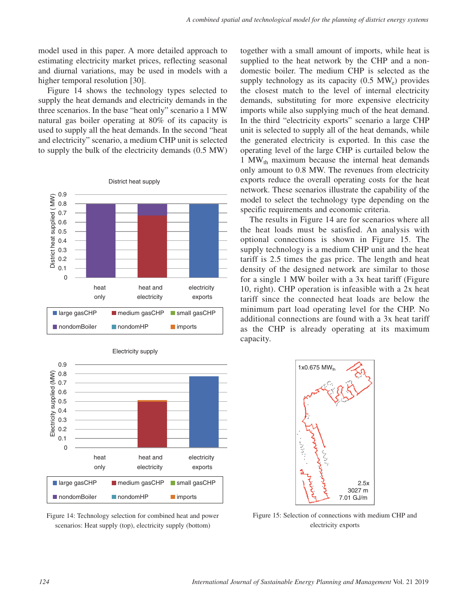model used in this paper. A more detailed approach to estimating electricity market prices, reflecting seasonal and diurnal variations, may be used in models with a higher temporal resolution [30].

Figure 14 shows the technology types selected to supply the heat demands and electricity demands in the three scenarios. In the base "heat only" scenario a 1 MW natural gas boiler operating at 80% of its capacity is used to supply all the heat demands. In the second "heat and electricity" scenario, a medium CHP unit is selected to supply the bulk of the electricity demands (0.5 MW)







Figure 14: Technology selection for combined heat and power scenarios: Heat supply (top), electricity supply (bottom)

together with a small amount of imports, while heat is supplied to the heat network by the CHP and a nondomestic boiler. The medium CHP is selected as the supply technology as its capacity  $(0.5 \text{ MW}_e)$  provides the closest match to the level of internal electricity demands, substituting for more expensive electricity imports while also supplying much of the heat demand. In the third "electricity exports" scenario a large CHP unit is selected to supply all of the heat demands, while the generated electricity is exported. In this case the operating level of the large CHP is curtailed below the 1 MW $_{\text{th}}$  maximum because the internal heat demands only amount to 0.8 MW. The revenues from electricity exports reduce the overall operating costs for the heat network. These scenarios illustrate the capability of the model to select the technology type depending on the specific requirements and economic criteria.

The results in Figure 14 are for scenarios where all the heat loads must be satisfied. An analysis with optional connections is shown in Figure 15. The supply technology is a medium CHP unit and the heat tariff is 2.5 times the gas price. The length and heat density of the designed network are similar to those for a single 1 MW boiler with a 3x heat tariff (Figure 10, right). CHP operation is infeasible with a 2x heat tariff since the connected heat loads are below the minimum part load operating level for the CHP. No additional connections are found with a 3x heat tariff as the CHP is already operating at its maximum capacity.



Figure 15: Selection of connections with medium CHP and electricity exports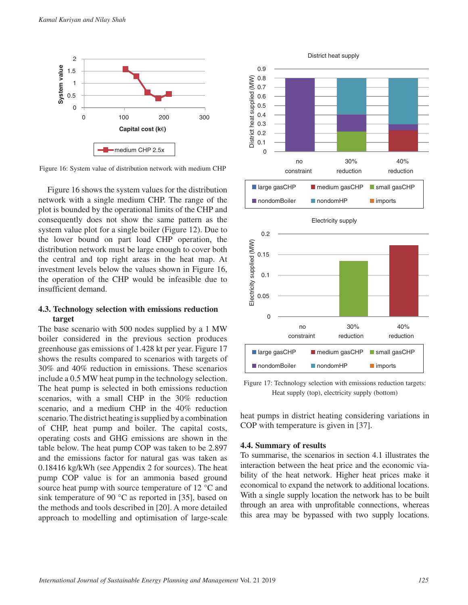

Figure 16: System value of distribution network with medium CHP

Figure 16 shows the system values for the distribution network with a single medium CHP. The range of the plot is bounded by the operational limits of the CHP and consequently does not show the same pattern as the system value plot for a single boiler (Figure 12). Due to the lower bound on part load CHP operation, the distribution network must be large enough to cover both the central and top right areas in the heat map. At investment levels below the values shown in Figure 16, the operation of the CHP would be infeasible due to insufficient demand.

#### **4.3. Technology selection with emissions reduction target**

The base scenario with 500 nodes supplied by a 1 MW boiler considered in the previous section produces greenhouse gas emissions of 1.428 kt per year. Figure 17 shows the results compared to scenarios with targets of 30% and 40% reduction in emissions. These scenarios include a 0.5 MW heat pump in the technology selection. The heat pump is selected in both emissions reduction scenarios, with a small CHP in the 30% reduction scenario, and a medium CHP in the 40% reduction scenario. The district heating is supplied by a combination of CHP, heat pump and boiler. The capital costs, operating costs and GHG emissions are shown in the table below. The heat pump COP was taken to be 2.897 and the emissions factor for natural gas was taken as 0.18416 kg/kWh (see Appendix 2 for sources). The heat pump COP value is for an ammonia based ground source heat pump with source temperature of 12 °C and sink temperature of 90 °C as reported in [35], based on the methods and tools described in [20]. A more detailed approach to modelling and optimisation of large-scale



Figure 17: Technology selection with emissions reduction targets: Heat supply (top), electricity supply (bottom)

heat pumps in district heating considering variations in COP with temperature is given in [37].

#### **4.4. Summary of results**

To summarise, the scenarios in section 4.1 illustrates the interaction between the heat price and the economic viability of the heat network. Higher heat prices make it economical to expand the network to additional locations. With a single supply location the network has to be built through an area with unprofitable connections, whereas this area may be bypassed with two supply locations.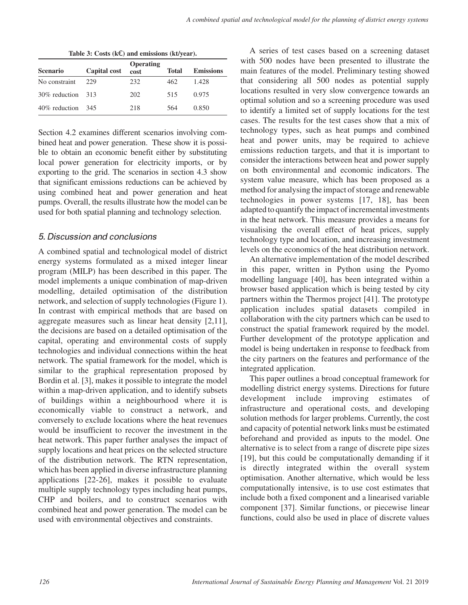|                 |                     | Operating |              |                  |
|-----------------|---------------------|-----------|--------------|------------------|
| <b>Scenario</b> | <b>Capital cost</b> | cost      | <b>Total</b> | <b>Emissions</b> |
| No constraint   | 229                 | 232       | 462          | 1.428            |
| 30% reduction   | -313                | 202       | 515          | 0.975            |
| 40% reduction   | 345                 | 218       | 564          | 0.850            |

**Table 3: Costs (k**€**) and emissions (kt/year).**

Section 4.2 examines different scenarios involving combined heat and power generation. These show it is possible to obtain an economic benefit either by substituting local power generation for electricity imports, or by exporting to the grid. The scenarios in section 4.3 show that significant emissions reductions can be achieved by using combined heat and power generation and heat pumps. Overall, the results illustrate how the model can be used for both spatial planning and technology selection.

## *5. Discussion and conclusions*

A combined spatial and technological model of district energy systems formulated as a mixed integer linear program (MILP) has been described in this paper. The model implements a unique combination of map-driven modelling, detailed optimisation of the distribution network, and selection of supply technologies (Figure 1). In contrast with empirical methods that are based on aggregate measures such as linear heat density [2,11], the decisions are based on a detailed optimisation of the capital, operating and environmental costs of supply technologies and individual connections within the heat network. The spatial framework for the model, which is similar to the graphical representation proposed by Bordin et al. [3], makes it possible to integrate the model within a map-driven application, and to identify subsets of buildings within a neighbourhood where it is economically viable to construct a network, and conversely to exclude locations where the heat revenues would be insufficient to recover the investment in the heat network. This paper further analyses the impact of supply locations and heat prices on the selected structure of the distribution network. The RTN representation, which has been applied in diverse infrastructure planning applications [22-26], makes it possible to evaluate multiple supply technology types including heat pumps, CHP and boilers, and to construct scenarios with combined heat and power generation. The model can be used with environmental objectives and constraints.

A series of test cases based on a screening dataset with 500 nodes have been presented to illustrate the main features of the model. Preliminary testing showed that considering all 500 nodes as potential supply locations resulted in very slow convergence towards an optimal solution and so a screening procedure was used to identify a limited set of supply locations for the test cases. The results for the test cases show that a mix of technology types, such as heat pumps and combined heat and power units, may be required to achieve emissions reduction targets, and that it is important to consider the interactions between heat and power supply on both environmental and economic indicators. The system value measure, which has been proposed as a method for analysing the impact of storage and renewable technologies in power systems [17, 18], has been adapted to quantify the impact of incremental investments in the heat network. This measure provides a means for visualising the overall effect of heat prices, supply technology type and location, and increasing investment levels on the economics of the heat distribution network.

An alternative implementation of the model described in this paper, written in Python using the Pyomo modelling language [40], has been integrated within a browser based application which is being tested by city partners within the Thermos project [41]. The prototype application includes spatial datasets compiled in collaboration with the city partners which can be used to construct the spatial framework required by the model. Further development of the prototype application and model is being undertaken in response to feedback from the city partners on the features and performance of the integrated application.

This paper outlines a broad conceptual framework for modelling district energy systems. Directions for future development include improving estimates of infrastructure and operational costs, and developing solution methods for larger problems. Currently, the cost and capacity of potential network links must be estimated beforehand and provided as inputs to the model. One alternative is to select from a range of discrete pipe sizes [19], but this could be computationally demanding if it is directly integrated within the overall system optimisation. Another alternative, which would be less computationally intensive, is to use cost estimates that include both a fixed component and a linearised variable component [37]. Similar functions, or piecewise linear functions, could also be used in place of discrete values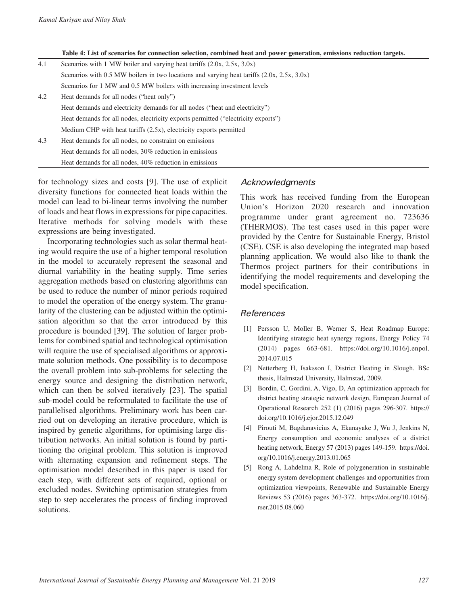**Table 4: List of scenarios for connection selection, combined heat and power generation, emissions reduction targets.**

| 4.1 | Scenarios with 1 MW boiler and varying heat tariffs $(2.0x, 2.5x, 3.0x)$                     |
|-----|----------------------------------------------------------------------------------------------|
|     | Scenarios with 0.5 MW boilers in two locations and varying heat tariffs $(2.0x, 2.5x, 3.0x)$ |
|     | Scenarios for 1 MW and 0.5 MW boilers with increasing investment levels                      |
| 4.2 | Heat demands for all nodes ("heat only")                                                     |
|     | Heat demands and electricity demands for all nodes ("heat and electricity")                  |
|     | Heat demands for all nodes, electricity exports permitted ("electricity exports")            |
|     | Medium CHP with heat tariffs $(2.5x)$ , electricity exports permitted                        |
| 4.3 | Heat demands for all nodes, no constraint on emissions                                       |
|     | Heat demands for all nodes, 30% reduction in emissions                                       |
|     | Heat demands for all nodes, 40% reduction in emissions                                       |

for technology sizes and costs [9]. The use of explicit diversity functions for connected heat loads within the model can lead to bi-linear terms involving the number of loads and heat flows in expressions for pipe capacities. Iterative methods for solving models with these expressions are being investigated.

Incorporating technologies such as solar thermal heating would require the use of a higher temporal resolution in the model to accurately represent the seasonal and diurnal variability in the heating supply. Time series aggregation methods based on clustering algorithms can be used to reduce the number of minor periods required to model the operation of the energy system. The granularity of the clustering can be adjusted within the optimisation algorithm so that the error introduced by this procedure is bounded [39]. The solution of larger problems for combined spatial and technological optimisation will require the use of specialised algorithms or approximate solution methods. One possibility is to decompose the overall problem into sub-problems for selecting the energy source and designing the distribution network, which can then be solved iteratively [23]. The spatial sub-model could be reformulated to facilitate the use of parallelised algorithms. Preliminary work has been carried out on developing an iterative procedure, which is inspired by genetic algorithms, for optimising large distribution networks. An initial solution is found by partitioning the original problem. This solution is improved with alternating expansion and refinement steps. The optimisation model described in this paper is used for each step, with different sets of required, optional or excluded nodes. Switching optimisation strategies from step to step accelerates the process of finding improved solutions.

#### *Acknowledgments*

This work has received funding from the European Union's Horizon 2020 research and innovation programme under grant agreement no. 723636 (THERMOS). The test cases used in this paper were provided by the Centre for Sustainable Energy, Bristol (CSE). CSE is also developing the integrated map based planning application. We would also like to thank the Thermos project partners for their contributions in identifying the model requirements and developing the model specification.

#### *References*

- [1] Persson U, Moller B, Werner S, Heat Roadmap Europe: Identifying strategic heat synergy regions, Energy Policy 74 (2014) pages 663-681. [https://doi.org/10.1016/j.enpol.](https://doi.org/10.1016/j.enpol.2014.07.015) [2014.07.015](https://doi.org/10.1016/j.enpol.2014.07.015)
- [2] Netterberg H, Isaksson I, District Heating in Slough. BSc thesis, Halmstad University, Halmstad, 2009.
- [3] Bordin, C, Gordini, A, Vigo, D, An optimization approach for district heating strategic network design, European Journal of Operational Research 252 (1) (2016) pages 296-307. [https://](https://doi.org/10.1016/j.ejor.2015.12.049) [doi.org/10.1016/j.ejor.2015.12.049](https://doi.org/10.1016/j.ejor.2015.12.049)
- [4] Pirouti M, Bagdanavicius A, Ekanayake J, Wu J, Jenkins N, Energy consumption and economic analyses of a district heating network, Energy 57 (2013) pages 149-159. [https://doi.](https://doi.org/10.1016/j.energy.2013.01.065) [org/10.1016/j.energy.2013.01.065](https://doi.org/10.1016/j.energy.2013.01.065)
- [5] Rong A, Lahdelma R, Role of polygeneration in sustainable energy system development challenges and opportunities from optimization viewpoints, Renewable and Sustainable Energy Reviews 53 (2016) pages 363-372. [https://doi.org/10.1016/j.](https://doi.org/10.1016/j.rser.2015.08.060) [rser.2015.08.060](https://doi.org/10.1016/j.rser.2015.08.060)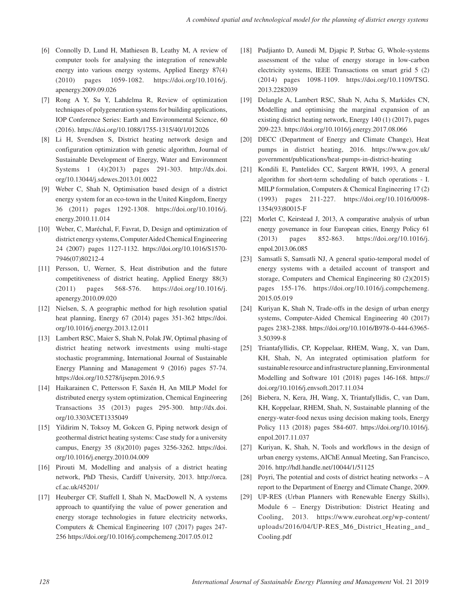- [6] Connolly D, Lund H, Mathiesen B, Leathy M, A review of computer tools for analysing the integration of renewable energy into various energy systems, Applied Energy 87(4) (2010) pages 1059-1082. [https://doi.org/10.1016/j.](https://doi.org/10.1016/j.apenergy.2009.09.026) [apenergy.2009.09.026](https://doi.org/10.1016/j.apenergy.2009.09.026)
- [7] Rong A Y, Su Y, Lahdelma R, Review of optimization techniques of polygeneration systems for building applications, IOP Conference Series: Earth and Environmental Science, 60 (2016). <https://doi.org/10.1088/1755-1315/40/1/012026>
- [8] Li H, Svendsen S, District heating network design and configuration optimization with genetic algorithm, Journal of Sustainable Development of Energy, Water and Environment Systems 1 (4)(2013) pages 291-303. [http://dx.doi.](http://dx.doi.org/10.13044/j.sdewes.2013.01.0022) [org/10.13044/j.sdewes.2013.01.0022](http://dx.doi.org/10.13044/j.sdewes.2013.01.0022)
- [9] Weber C, Shah N, Optimisation based design of a district energy system for an eco-town in the United Kingdom, Energy 36 (2011) pages 1292-1308. [https://doi.org/10.1016/j.](https://doi.org/10.1016/j.energy.2010.11.014) [energy.2010.11.014](https://doi.org/10.1016/j.energy.2010.11.014)
- [10] Weber, C, Maréchal, F, Favrat, D, Design and optimization of district energy systems, Computer Aided Chemical Engineering 24 (2007) pages 1127-1132. [https://doi.org/10.1016/S1570-](https://doi.org/10.1016/S1570-7946(07)80212-4) [7946\(07\)80212-4](https://doi.org/10.1016/S1570-7946(07)80212-4)
- [11] Persson, U, Werner, S, Heat distribution and the future competitiveness of district heating, Applied Energy 88(3) (2011) pages 568-576. [https://doi.org/10.1016/j.](https://doi.org/10.1016/j.apenergy.2010.09.020) [apenergy.2010.09.020](https://doi.org/10.1016/j.apenergy.2010.09.020)
- [12] Nielsen, S, A geographic method for high resolution spatial heat planning, Energy 67 (2014) pages 351-362 [https://doi.](https://doi.org/10.1016/j.energy.2013.12.011) [org/10.1016/j.energy.2013.12.011](https://doi.org/10.1016/j.energy.2013.12.011)
- [13] Lambert RSC, Maier S, Shah N, Polak JW, Optimal phasing of district heating network investments using multi-stage stochastic programming, International Journal of Sustainable Energy Planning and Management 9 (2016) pages 57-74. <https://doi.org/10.5278/ijsepm.2016.9.5>
- [14] Haikarainen C, Pettersson F, Saxén H, An MILP Model for distributed energy system optimization, Chemical Engineering Transactions 35 (2013) pages 295-300. [http://dx.doi.](http://dx.doi.org/10.3303/CET1335049) [org/10.3303/CET1335049](http://dx.doi.org/10.3303/CET1335049)
- [15] Yildirim N, Toksoy M, Gokcen G, Piping network design of geothermal district heating systems: Case study for a university campus, Energy 35 (8)(2010) pages 3256-3262. [https://doi.](https://doi.org/10.1016/j.energy.2010.04.009) [org/10.1016/j.energy.2010.04.009](https://doi.org/10.1016/j.energy.2010.04.009)
- [16] Pirouti M, Modelling and analysis of a district heating network, PhD Thesis, Cardiff University, 2013. [http://orca.](http://orca.cf.ac.uk/45201/) [cf.ac.uk/45201/](http://orca.cf.ac.uk/45201/)
- [17] Heuberger CF, Staffell I, Shah N, MacDowell N, A systems approach to quantifying the value of power generation and energy storage technologies in future electricity networks, Computers & Chemical Engineering 107 (2017) pages 247- 256 <https://doi.org/10.1016/j.compchemeng.2017.05.012>
- [18] Pudjianto D, Aunedi M, Djapic P, Strbac G, Whole-systems assessment of the value of energy storage in low-carbon electricity systems, IEEE Transactions on smart grid 5 (2) (2014) pages 1098-1109. [https://doi.org/10.1109/TSG.](https://doi.org/10.1109/TSG.2013.2282039) [2013.2282039](https://doi.org/10.1109/TSG.2013.2282039)
- [19] Delangle A, Lambert RSC, Shah N, Acha S, Markides CN, Modelling and optimising the marginal expansion of an existing district heating network, Energy 140 (1) (2017), pages 209-223.<https://doi.org/10.1016/j.energy.2017.08.066>
- [20] DECC (Department of Energy and Climate Change), Heat pumps in district heating, 2016. [https://www.gov.uk/](https://www.gov.uk/government/publications/heat-pumps-in-district-heating) [government/publications/heat-pumps-in-district-heating](https://www.gov.uk/government/publications/heat-pumps-in-district-heating)
- [21] Kondili E, Pantelides CC, Sargent RWH, 1993, A general algorithm for short-term scheduling of batch operations - I. MILP formulation, Computers & Chemical Engineering 17 (2) (1993) pages 211-227. [https://doi.org/10.1016/0098-](https://doi.org/10.1016/0098-1354(93)80015-F) [1354\(93\)80015-F](https://doi.org/10.1016/0098-1354(93)80015-F)
- [22] Morlet C, Keirstead J, 2013, A comparative analysis of urban energy governance in four European cities, Energy Policy 61 (2013) pages 852-863. [https://doi.org/10.1016/j.](https://doi.org/10.1016/j.enpol.2013.06.085) [enpol.2013.06.085](https://doi.org/10.1016/j.enpol.2013.06.085)
- [23] Samsatli S, Samsatli NJ, A general spatio-temporal model of energy systems with a detailed account of transport and storage, Computers and Chemical Engineering 80 (2)(2015) pages 155-176. [https://doi.org/10.1016/j.compchemeng.](https://doi.org/10.1016/j.compchemeng.2015.05.019) [2015.05.019](https://doi.org/10.1016/j.compchemeng.2015.05.019)
- [24] Kuriyan K, Shah N, Trade-offs in the design of urban energy systems, Computer-Aided Chemical Engineering 40 (2017) pages 2383-2388. [https://doi.org/10.1016/B978-0-444-63965-](https://doi.org/10.1016/B978-0-444-63965-3.50399-8) [3.50399-8](https://doi.org/10.1016/B978-0-444-63965-3.50399-8)
- [25] Triantafyllidis, CP, Koppelaar, RHEM, Wang, X, van Dam, KH, Shah, N, An integrated optimisation platform for sustainable resource and infrastructure planning, Environmental Modelling and Software 101 (2018) pages 146-168. [https://](https://doi.org/10.1016/j.envsoft.2017.11.034) [doi.org/10.1016/j.envsoft.2017.11.034](https://doi.org/10.1016/j.envsoft.2017.11.034)
- [26] Biebera, N, Kera, JH, Wang, X, Triantafyllidis, C, van Dam, KH, Koppelaar, RHEM, Shah, N, Sustainable planning of the energy-water-food nexus using decision making tools, Energy Policy 113 (2018) pages 584-607. [https://doi.org/10.1016/j.](https://doi.org/10.1016/j.enpol.2017.11.037) [enpol.2017.11.037](https://doi.org/10.1016/j.enpol.2017.11.037)
- [27] Kuriyan, K, Shah, N, Tools and workflows in the design of urban energy systems, AIChE Annual Meeting, San Francisco, 2016.<http://hdl.handle.net/10044/1/51125>
- [28] Poyri, The potential and costs of district heating networks A report to the Department of Energy and Climate Change, 2009.
- [29] UP-RES (Urban Planners with Renewable Energy Skills), Module 6 – Energy Distribution: District Heating and Cooling, 2013. [https://www.euroheat.org/wp-content/](https://www.euroheat.org/wp-content/uploads/2016/04/UP-RES_M6_District_Heating_and_Cooling.pdf) [uploads/2016/04/UP-RES\\_M6\\_District\\_Heating\\_and\\_](https://www.euroheat.org/wp-content/uploads/2016/04/UP-RES_M6_District_Heating_and_Cooling.pdf) [Cooling.pdf](https://www.euroheat.org/wp-content/uploads/2016/04/UP-RES_M6_District_Heating_and_Cooling.pdf)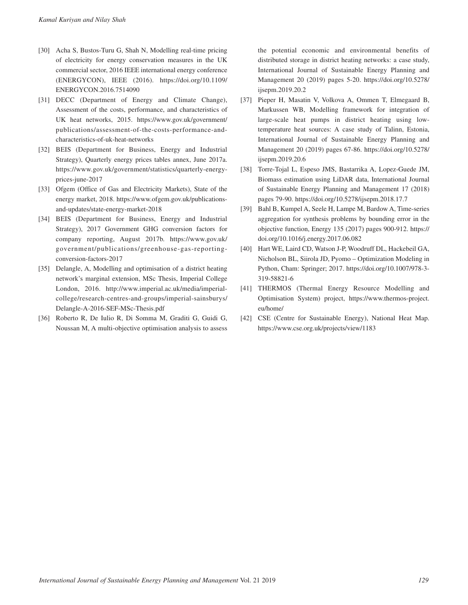- [30] Acha S, Bustos-Turu G, Shah N, Modelling real-time pricing of electricity for energy conservation measures in the UK commercial sector, 2016 IEEE international energy conference (ENERGYCON), IEEE (2016). [https://doi.org/10.1109/](https://doi.org/10.1109/ENERGYCON.2016.7514090) [ENERGYCON.2016.7514090](https://doi.org/10.1109/ENERGYCON.2016.7514090)
- [31] DECC (Department of Energy and Climate Change), Assessment of the costs, performance, and characteristics of UK heat networks, 2015. [https://www.gov.uk/government/](https://www.gov.uk/government/publications/assessment-of-the-costs-performance-and-characteristics-of-uk-heat-networks) [publications/assessment-of-the-costs-performance-and](https://www.gov.uk/government/publications/assessment-of-the-costs-performance-and-characteristics-of-uk-heat-networks)[characteristics-of-uk-heat-networks](https://www.gov.uk/government/publications/assessment-of-the-costs-performance-and-characteristics-of-uk-heat-networks)
- [32] BEIS (Department for Business, Energy and Industrial Strategy), Quarterly energy prices tables annex, June 2017a. [https://www.gov.uk/government/statistics/quarterly-energy](https://www.gov.uk/government/statistics/quarterly-energy-prices-june-2017)[prices-june-2017](https://www.gov.uk/government/statistics/quarterly-energy-prices-june-2017)
- [33] Ofgem (Office of Gas and Electricity Markets), State of the energy market, 2018. [https://www.ofgem.gov.uk/publications](https://www.ofgem.gov.uk/publications-and-updates/state-energy-market-2018)[and-updates/state-energy-market-2018](https://www.ofgem.gov.uk/publications-and-updates/state-energy-market-2018)
- [34] BEIS (Department for Business, Energy and Industrial Strategy), 2017 Government GHG conversion factors for company reporting, August 2017b. [https://www.gov.uk/](https://www.gov.uk/government/publications/greenhouse-gas-reporting-conversion-factors-2017) [government/publications/greenhouse-gas-reporting](https://www.gov.uk/government/publications/greenhouse-gas-reporting-conversion-factors-2017)[conversion-factors-2017](https://www.gov.uk/government/publications/greenhouse-gas-reporting-conversion-factors-2017)
- [35] Delangle, A, Modelling and optimisation of a district heating network's marginal extension, MSc Thesis, Imperial College London, 2016. [http://www.imperial.ac.uk/media/imperial](http://www.imperial.ac.uk/media/imperial-college/research-centres-and-groups/imperial-sainsburys/Delangle-A-2016-SEF-MSc-Thesis.pdf)[college/research-centres-and-groups/imperial-sainsburys/](http://www.imperial.ac.uk/media/imperial-college/research-centres-and-groups/imperial-sainsburys/Delangle-A-2016-SEF-MSc-Thesis.pdf) [Delangle-A-2016-SEF-MSc-Thesis.pdf](http://www.imperial.ac.uk/media/imperial-college/research-centres-and-groups/imperial-sainsburys/Delangle-A-2016-SEF-MSc-Thesis.pdf)
- [36] Roberto R, De Iulio R, Di Somma M, Graditi G, Guidi G, Noussan M, A multi-objective optimisation analysis to assess

the potential economic and environmental benefits of distributed storage in district heating networks: a case study, International Journal of Sustainable Energy Planning and Management 20 (2019) pages 5-20. [https://doi.org/10.5278/](https://doi.org/10.5278/ijsepm.2019.20.2) [ijsepm.2019.20.2](https://doi.org/10.5278/ijsepm.2019.20.2)

- [37] Pieper H, Masatin V, Volkova A, Ommen T, Elmegaard B, Markussen WB, Modelling framework for integration of large-scale heat pumps in district heating using lowtemperature heat sources: A case study of Talinn, Estonia, International Journal of Sustainable Energy Planning and Management 20 (2019) pages 67-86. [https://doi.org/10.5278/](https://doi.org/10.5278/ijsepm.2019.20.6) [ijsepm.2019.20.6](https://doi.org/10.5278/ijsepm.2019.20.6)
- [38] Torre-Tojal L, Espeso JMS, Bastarrika A, Lopez-Guede JM, Biomass estimation using LiDAR data, International Journal of Sustainable Energy Planning and Management 17 (2018) pages 79-90.<https://doi.org/10.5278/ijsepm.2018.17.7>
- [39] Bahl B, Kumpel A, Seele H, Lampe M, Bardow A, Time-series aggregation for synthesis problems by bounding error in the objective function, Energy 135 (2017) pages 900-912. [https://](https://doi.org/10.1016/j.energy.2017.06.082) [doi.org/10.1016/j.energy.2017.06.082](https://doi.org/10.1016/j.energy.2017.06.082)
- [40] Hart WE, Laird CD, Watson J-P, Woodruff DL, Hackebeil GA, Nicholson BL, Siirola JD, Pyomo – Optimization Modeling in Python, Cham: Springer; 2017. [https://doi.org/10.1007/978-3-](https://doi.org/10.1007/978-3-319-58821-6) [319-58821-6](https://doi.org/10.1007/978-3-319-58821-6)
- [41] THERMOS (Thermal Energy Resource Modelling and Optimisation System) project, [https://www.thermos-project.](https://www.thermos-project.eu/home/) [eu/home/](https://www.thermos-project.eu/home/)
- [42] CSE (Centre for Sustainable Energy), National Heat Map. <https://www.cse.org.uk/projects/view/1183>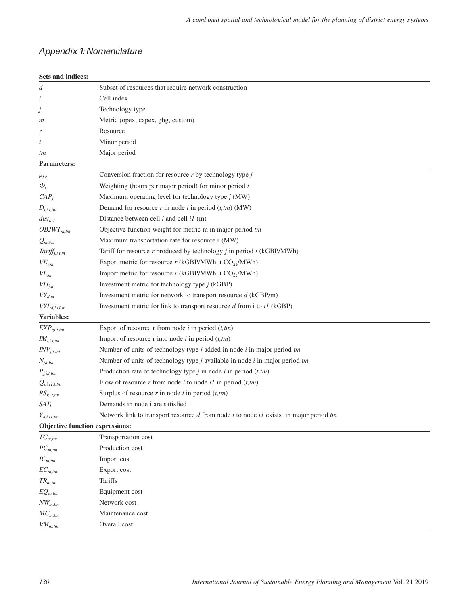# *Appendix 1: Nomenclature*

#### **Sets and indices:**

| d                               | Subset of resources that require network construction                                        |
|---------------------------------|----------------------------------------------------------------------------------------------|
| i                               | Cell index                                                                                   |
| Ĵ                               | Technology type                                                                              |
| m                               | Metric (opex, capex, ghg, custom)                                                            |
| r                               | Resource                                                                                     |
| t                               | Minor period                                                                                 |
| tm                              | Major period                                                                                 |
| <b>Parameters:</b>              |                                                                                              |
| $\mu_{j,r}$                     | Conversion fraction for resource $r$ by technology type $j$                                  |
| $\boldsymbol{\phi}_t$           | Weighting (hours per major period) for minor period $t$                                      |
| $CAP_i$                         | Maximum operating level for technology type $j$ (MW)                                         |
| $D_{r,i,t,tm}$                  | Demand for resource $r$ in node $i$ in period $(t,tm)$ (MW)                                  |
| $dist_{i,iI}$                   | Distance between cell $i$ and cell $iI$ (m)                                                  |
| $OBJWT_{m,tm}$                  | Objective function weight for metric m in major period tm                                    |
| $Q_{max,r}$                     | Maximum transportation rate for resource r (MW)                                              |
| Tariff <sub>j,r,t,m</sub>       | Tariff for resource $r$ produced by technology $j$ in period $t$ (kGBP/MWh)                  |
| $VE_{r,m}$                      | Export metric for resource $r$ (kGBP/MWh, t $CO_{2e}$ /MWh)                                  |
| $VI_{r,m}$                      | Import metric for resource $r$ (kGBP/MWh, t $CO_{2e}$ /MWh)                                  |
| $VIJ_{j,m}$                     | Investment metric for technology type $j$ (kGBP)                                             |
| $VY_{d,m}$                      | Investment metric for network to transport resource $d$ (kGBP/m)                             |
| $VYL_{d,i,i1,m}$                | Investment metric for link to transport resource $d$ from i to $iI$ (kGBP)                   |
| Variables:                      |                                                                                              |
| $EXP_{r,i,t,tm}$                | Export of resource r from node $i$ in period $(t, tm)$                                       |
| $I\!M_{r,i,t,tm}$               | Import of resource r into node $i$ in period $(t, tm)$                                       |
| $INV_{j,i,tm}$                  | Number of units of technology type $j$ added in node $i$ in major period $tm$                |
| $N_{j,i,tm}$                    | Number of units of technology type $j$ available in node $i$ in major period $tm$            |
| $P_{j,i,t,tm}$                  | Production rate of technology type $j$ in node $i$ in period $(t, tm)$                       |
| $Q_{r,i,i1,t,tm}$               | Flow of resource $r$ from node $i$ to node $i$ in period $(t, tm)$                           |
| $RS_{r,i,t,tm}$                 | Surplus of resource $r$ in node $i$ in period $(t, tm)$                                      |
| $SAT_i$                         | Demands in node i are satisfied                                                              |
| $Y_{d,i,i1,tm}$                 | Network link to transport resource $d$ from node $i$ to node $i$ exists in major period $tm$ |
| Objective function expressions: |                                                                                              |
| $TC_{m,tm}$                     | Transportation cost                                                                          |
| ${\cal PC}_{m,tm}$              | Production cost                                                                              |
| $IC_{m,tm}$                     | Import cost                                                                                  |
| ${\it EC}_{m,tm}$               | Export cost                                                                                  |
| $TR_{m,tm}$                     | <b>Tariffs</b>                                                                               |
| $EQ_{m,tm}$                     | Equipment cost                                                                               |
| $NW_{m,tm}$                     | Network cost                                                                                 |
| $MC_{m,tm}$                     | Maintenance cost                                                                             |
| $VM_{m,tm}$                     | Overall cost                                                                                 |